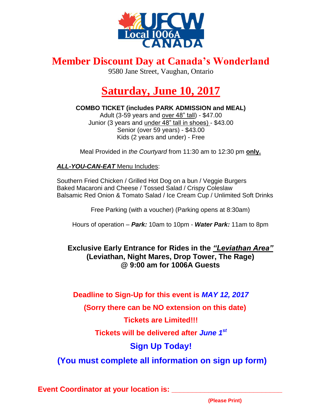

## **Member Discount Day at Canada's Wonderland**

9580 Jane Street, Vaughan, Ontario

# **Saturday, June 10, 2017**

**COMBO TICKET (includes PARK ADMISSION and MEAL)** Adult (3-59 years and over 48" tall) - \$47.00 Junior (3 years and under 48" tall in shoes) - \$43.00 Senior (over 59 years) - \$43.00 Kids (2 years and under) - Free

Meal Provided in *the Courtyard* from 11:30 am to 12:30 pm **only.**

#### *ALL-YOU-CAN-EAT* Menu Includes:

Southern Fried Chicken / Grilled Hot Dog on a bun / Veggie Burgers Baked Macaroni and Cheese / Tossed Salad / Crispy Coleslaw Balsamic Red Onion & Tomato Salad / Ice Cream Cup / Unlimited Soft Drinks

Free Parking (with a voucher) (Parking opens at 8:30am)

Hours of operation – *Park:* 10am to 10pm - *Water Park:* 11am to 8pm

#### **Exclusive Early Entrance for Rides in the** *"Leviathan Area"* **(Leviathan, Night Mares, Drop Tower, The Rage) @ 9:00 am for 1006A Guests**

#### **Deadline to Sign-Up for this event is** *MAY 12, 2017*

 **(Sorry there can be NO extension on this date)**

#### **Tickets are Limited!!!**

#### **Tickets will be delivered after** *June 1st*

## **Sign Up Today!**

**(You must complete all information on sign up form)**

**Event Coordinator at your location is: \_\_\_\_\_\_\_\_\_\_\_\_\_\_\_\_\_\_\_\_\_\_\_\_\_\_\_**